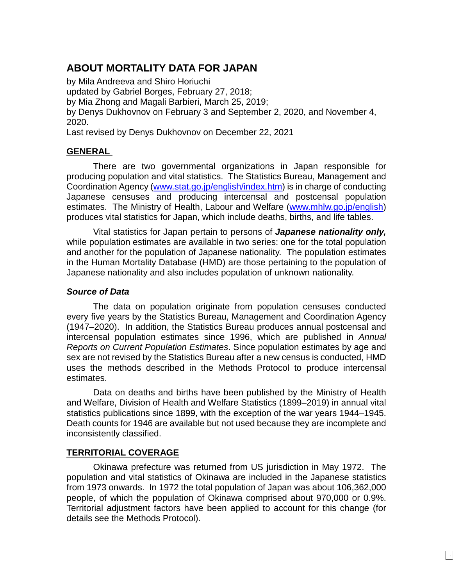# **ABOUT MORTALITY DATA FOR JAPAN**

by Mila Andreeva and Shiro Horiuchi updated by Gabriel Borges, February 27, 2018; by Mia Zhong and Magali Barbieri, March 25, 2019; by Denys Dukhovnov on February 3 and September 2, 2020, and November 4, 2020.

Last revised by Denys Dukhovnov on December 22, 2021

## **GENERAL**

There are two governmental organizations in Japan responsible for producing population and vital statistics. The Statistics Bureau, Management and Coordination Agency [\(www.stat.go.jp/english/index.htm\)](http://www.stat.go.jp/english/index.htm) is in charge of conducting Japanese censuses and producing intercensal and postcensal population estimates. The Ministry of Health, Labour and Welfare [\(www.mhlw.go.jp/english\)](http://www.mhlw.go.jp/english/) produces vital statistics for Japan, which include deaths, births, and life tables.

Vital statistics for Japan pertain to persons of *Japanese nationality only,*  while population estimates are available in two series: one for the total population and another for the population of Japanese nationality. The population estimates in the Human Mortality Database (HMD) are those pertaining to the population of Japanese nationality and also includes population of unknown nationality.

## *Source of Data*

The data on population originate from population censuses conducted every five years by the Statistics Bureau, Management and Coordination Agency (1947–2020). In addition, the Statistics Bureau produces annual postcensal and intercensal population estimates since 1996, which are published in *Annual Reports on Current Population Estimates*. Since population estimates by age and sex are not revised by the Statistics Bureau after a new census is conducted, HMD uses the methods described in the Methods Protocol to produce intercensal estimates.

Data on deaths and births have been published by the Ministry of Health and Welfare, Division of Health and Welfare Statistics (1899–2019) in annual vital statistics publications since 1899, with the exception of the war years 1944–1945. Death counts for 1946 are available but not used because they are incomplete and inconsistently classified.

## **TERRITORIAL COVERAGE**

Okinawa prefecture was returned from US jurisdiction in May 1972. The population and vital statistics of Okinawa are included in the Japanese statistics from 1973 onwards. In 1972 the total population of Japan was about 106,362,000 people, of which the population of Okinawa comprised about 970,000 or 0.9%. Territorial adjustment factors have been applied to account for this change (for details see the Methods Protocol).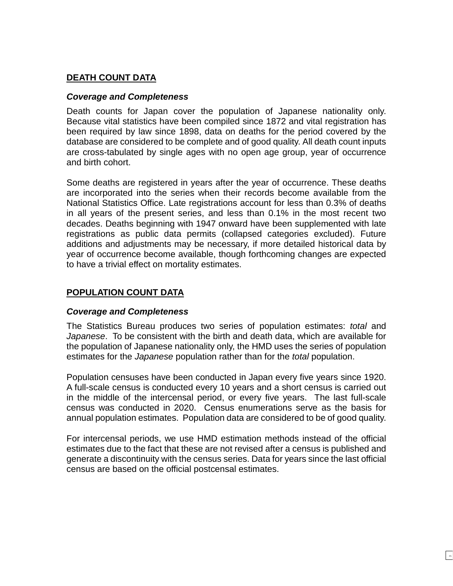## **DEATH COUNT DATA**

## *Coverage and Completeness*

Death counts for Japan cover the population of Japanese nationality only. Because vital statistics have been compiled since 1872 and vital registration has been required by law since 1898, data on deaths for the period covered by the database are considered to be complete and of good quality. All death count inputs are cross-tabulated by single ages with no open age group, year of occurrence and birth cohort.

Some deaths are registered in years after the year of occurrence. These deaths are incorporated into the series when their records become available from the National Statistics Office. Late registrations account for less than 0.3% of deaths in all years of the present series, and less than 0.1% in the most recent two decades. Deaths beginning with 1947 onward have been supplemented with late registrations as public data permits (collapsed categories excluded). Future additions and adjustments may be necessary, if more detailed historical data by year of occurrence become available, though forthcoming changes are expected to have a trivial effect on mortality estimates.

## **POPULATION COUNT DATA**

## *Coverage and Completeness*

The Statistics Bureau produces two series of population estimates: *total* and *Japanese*. To be consistent with the birth and death data, which are available for the population of Japanese nationality only, the HMD uses the series of population estimates for the *Japanese* population rather than for the *total* population.

Population censuses have been conducted in Japan every five years since 1920. A full-scale census is conducted every 10 years and a short census is carried out in the middle of the intercensal period, or every five years. The last full-scale census was conducted in 2020. Census enumerations serve as the basis for annual population estimates. Population data are considered to be of good quality.

For intercensal periods, we use HMD estimation methods instead of the official estimates due to the fact that these are not revised after a census is published and generate a discontinuity with the census series. Data for years since the last official census are based on the official postcensal estimates.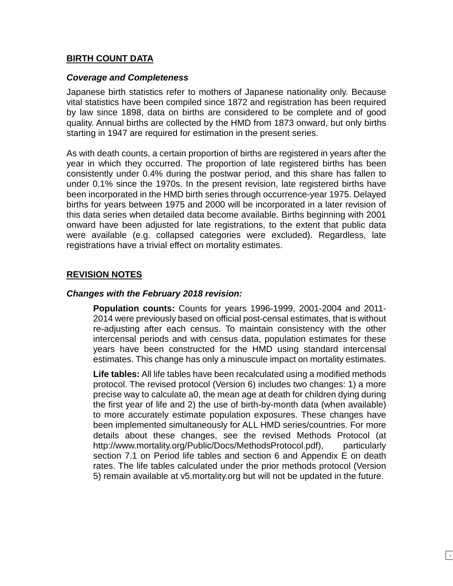### **BIRTH COUNT DATA**

#### *Coverage and Completeness*

Japanese birth statistics refer to mothers of Japanese nationality only. Because vital statistics have been compiled since 1872 and registration has been required by law since 1898, data on births are considered to be complete and of good quality. Annual births are collected by the HMD from 1873 onward, but only births starting in 1947 are required for estimation in the present series.

As with death counts, a certain proportion of births are registered in years after the year in which they occurred. The proportion of late registered births has been consistently under 0.4% during the postwar period, and this share has fallen to under 0.1% since the 1970s. In the present revision, late registered births have been incorporated in the HMD birth series through occurrence-year 1975. Delayed births for years between 1975 and 2000 will be incorporated in a later revision of this data series when detailed data become available. Births beginning with 2001 onward have been adjusted for late registrations, to the extent that public data were available (e.g. collapsed categories were excluded). Regardless, late registrations have a trivial effect on mortality estimates.

## **REVISION NOTES**

#### *Changes with the February 2018 revision:*

**Population counts:** Counts for years 1996-1999, 2001-2004 and 2011- 2014 were previously based on official post-censal estimates, that is without re-adjusting after each census. To maintain consistency with the other intercensal periods and with census data, population estimates for these years have been constructed for the HMD using standard intercensal estimates. This change has only a minuscule impact on mortality estimates.

**Life tables:** All life tables have been recalculated using a modified methods protocol. The revised protocol (Version 6) includes two changes: 1) a more precise way to calculate a0, the mean age at death for children dying during the first year of life and 2) the use of birth-by-month data (when available) to more accurately estimate population exposures. These changes have been implemented simultaneously for ALL HMD series/countries. For more details about these changes, see the revised Methods Protocol (at http://www.mortality.org/Public/Docs/MethodsProtocol.pdf), particularly section 7.1 on Period life tables and section 6 and Appendix E on death rates. The life tables calculated under the prior methods protocol (Version 5) remain available at v5.mortality.org but will not be updated in the future.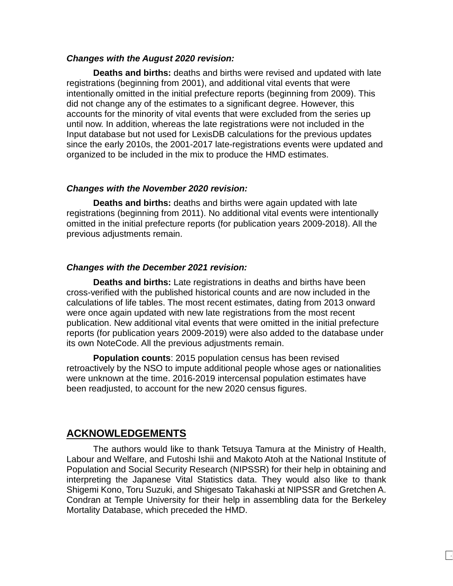#### *Changes with the August 2020 revision:*

**Deaths and births:** deaths and births were revised and updated with late registrations (beginning from 2001), and additional vital events that were intentionally omitted in the initial prefecture reports (beginning from 2009). This did not change any of the estimates to a significant degree. However, this accounts for the minority of vital events that were excluded from the series up until now. In addition, whereas the late registrations were not included in the Input database but not used for LexisDB calculations for the previous updates since the early 2010s, the 2001-2017 late-registrations events were updated and organized to be included in the mix to produce the HMD estimates.

#### *Changes with the November 2020 revision:*

**Deaths and births:** deaths and births were again updated with late registrations (beginning from 2011). No additional vital events were intentionally omitted in the initial prefecture reports (for publication years 2009-2018). All the previous adjustments remain.

#### *Changes with the December 2021 revision:*

**Deaths and births:** Late registrations in deaths and births have been cross-verified with the published historical counts and are now included in the calculations of life tables. The most recent estimates, dating from 2013 onward were once again updated with new late registrations from the most recent publication. New additional vital events that were omitted in the initial prefecture reports (for publication years 2009-2019) were also added to the database under its own NoteCode. All the previous adjustments remain.

**Population counts**: 2015 population census has been revised retroactively by the NSO to impute additional people whose ages or nationalities were unknown at the time. 2016-2019 intercensal population estimates have been readjusted, to account for the new 2020 census figures.

## **ACKNOWLEDGEMENTS**

The authors would like to thank Tetsuya Tamura at the Ministry of Health, Labour and Welfare, and Futoshi Ishii and Makoto Atoh at the National Institute of Population and Social Security Research (NIPSSR) for their help in obtaining and interpreting the Japanese Vital Statistics data. They would also like to thank Shigemi Kono, Toru Suzuki, and Shigesato Takahaski at NIPSSR and Gretchen A. Condran at Temple University for their help in assembling data for the Berkeley Mortality Database, which preceded the HMD.

 $\vert \hspace{0.1cm} \cdot \hspace{0.1cm}$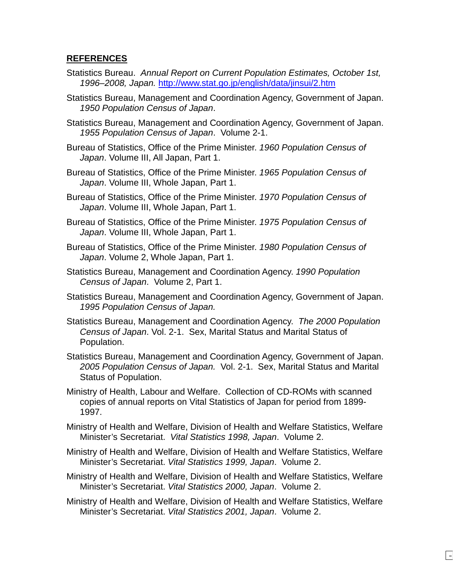### **REFERENCES**

- Statistics Bureau. *Annual Report on Current Population Estimates, October 1st, 1996–2008, Japan.* <http://www.stat.go.jp/english/data/jinsui/2.htm>
- Statistics Bureau, Management and Coordination Agency, Government of Japan. *1950 Population Census of Japan*.
- Statistics Bureau, Management and Coordination Agency, Government of Japan. *1955 Population Census of Japan*. Volume 2-1.
- Bureau of Statistics, Office of the Prime Minister. *1960 Population Census of Japan*. Volume III, All Japan, Part 1.
- Bureau of Statistics, Office of the Prime Minister. *1965 Population Census of Japan*. Volume III, Whole Japan, Part 1.
- Bureau of Statistics, Office of the Prime Minister. *1970 Population Census of Japan*. Volume III, Whole Japan, Part 1.
- Bureau of Statistics, Office of the Prime Minister. *1975 Population Census of Japan*. Volume III, Whole Japan, Part 1.
- Bureau of Statistics, Office of the Prime Minister. *1980 Population Census of Japan*. Volume 2, Whole Japan, Part 1.
- Statistics Bureau, Management and Coordination Agency. *1990 Population Census of Japan*. Volume 2, Part 1.
- Statistics Bureau, Management and Coordination Agency, Government of Japan. *1995 Population Census of Japan.*
- Statistics Bureau, Management and Coordination Agency. *The 2000 Population Census of Japan*. Vol. 2-1. Sex, Marital Status and Marital Status of Population.
- Statistics Bureau, Management and Coordination Agency, Government of Japan. *2005 Population Census of Japan.* Vol. 2-1. Sex, Marital Status and Marital Status of Population.
- Ministry of Health, Labour and Welfare. Collection of CD-ROMs with scanned copies of annual reports on Vital Statistics of Japan for period from 1899- 1997.
- Ministry of Health and Welfare, Division of Health and Welfare Statistics, Welfare Minister's Secretariat. *Vital Statistics 1998, Japan*. Volume 2.
- Ministry of Health and Welfare, Division of Health and Welfare Statistics, Welfare Minister's Secretariat. *Vital Statistics 1999, Japan*. Volume 2.
- Ministry of Health and Welfare, Division of Health and Welfare Statistics, Welfare Minister's Secretariat. *Vital Statistics 2000, Japan*. Volume 2.
- Ministry of Health and Welfare, Division of Health and Welfare Statistics, Welfare Minister's Secretariat. *Vital Statistics 2001, Japan*. Volume 2.

 $\Box$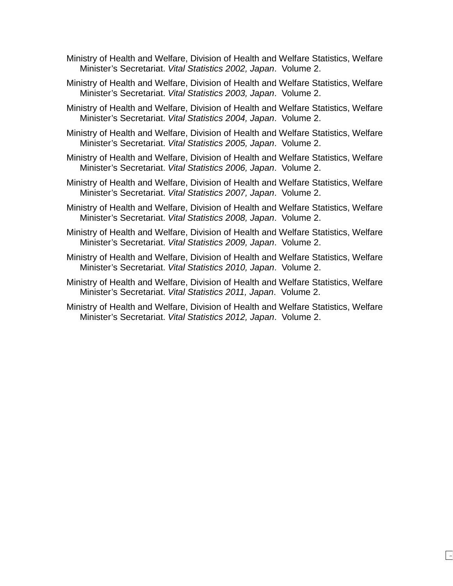- Ministry of Health and Welfare, Division of Health and Welfare Statistics, Welfare Minister's Secretariat. *Vital Statistics 2002, Japan*. Volume 2.
- Ministry of Health and Welfare, Division of Health and Welfare Statistics, Welfare Minister's Secretariat. *Vital Statistics 2003, Japan*. Volume 2.
- Ministry of Health and Welfare, Division of Health and Welfare Statistics, Welfare Minister's Secretariat. *Vital Statistics 2004, Japan*. Volume 2.
- Ministry of Health and Welfare, Division of Health and Welfare Statistics, Welfare Minister's Secretariat. *Vital Statistics 2005, Japan*. Volume 2.
- Ministry of Health and Welfare, Division of Health and Welfare Statistics, Welfare Minister's Secretariat. *Vital Statistics 2006, Japan*. Volume 2.
- Ministry of Health and Welfare, Division of Health and Welfare Statistics, Welfare Minister's Secretariat. *Vital Statistics 2007, Japan*. Volume 2.
- Ministry of Health and Welfare, Division of Health and Welfare Statistics, Welfare Minister's Secretariat. *Vital Statistics 2008, Japan*. Volume 2.
- Ministry of Health and Welfare, Division of Health and Welfare Statistics, Welfare Minister's Secretariat. *Vital Statistics 2009, Japan*. Volume 2.
- Ministry of Health and Welfare, Division of Health and Welfare Statistics, Welfare Minister's Secretariat. *Vital Statistics 2010, Japan*. Volume 2.
- Ministry of Health and Welfare, Division of Health and Welfare Statistics, Welfare Minister's Secretariat. *Vital Statistics 2011, Japan*. Volume 2.
- Ministry of Health and Welfare, Division of Health and Welfare Statistics, Welfare Minister's Secretariat. *Vital Statistics 2012, Japan*. Volume 2.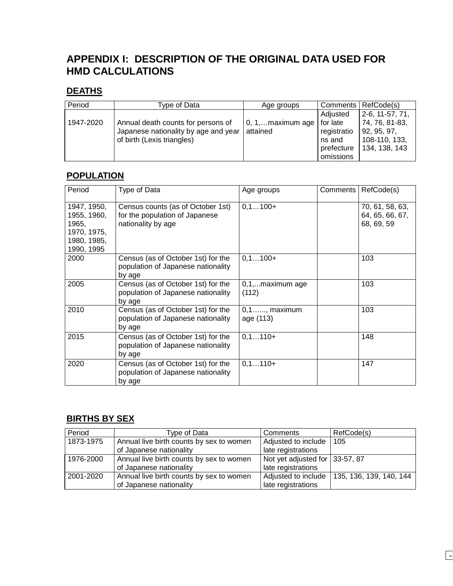# **APPENDIX I: DESCRIPTION OF THE ORIGINAL DATA USED FOR HMD CALCULATIONS**

## **DEATHS**

| Period    | Type of Data                         | Age groups                    |             | Comments   RefCode(s) |
|-----------|--------------------------------------|-------------------------------|-------------|-----------------------|
|           |                                      |                               | Adjusted    | $2-6, 11-57, 71,$     |
| 1947-2020 | Annual death counts for persons of   | 0, 1,maximum age $ $ for late |             | 74, 76, 81-83,        |
|           | Japanese nationality by age and year | attained                      | registratio | 92, 95, 97,           |
|           | of birth (Lexis triangles)           |                               | ns and      | 108-110, 133,         |
|           |                                      |                               | prefecture  | 134, 138, 143         |
|           |                                      |                               | omissions   |                       |

## **POPULATION**

| Period                                                                          | Type of Data                                                                              | Age groups                   | Comments | RefCode(s)                                       |
|---------------------------------------------------------------------------------|-------------------------------------------------------------------------------------------|------------------------------|----------|--------------------------------------------------|
| 1947, 1950,<br>1955, 1960,<br>1965,<br>1970, 1975,<br>1980, 1985,<br>1990, 1995 | Census counts (as of October 1st)<br>for the population of Japanese<br>nationality by age | $0, 1100+$                   |          | 70, 61, 58, 63,<br>64, 65, 66, 67,<br>68, 69, 59 |
| 2000                                                                            | Census (as of October 1st) for the<br>population of Japanese nationality<br>by age        | $0, 1100+$                   |          | 103                                              |
| 2005                                                                            | Census (as of October 1st) for the<br>population of Japanese nationality<br>by age        | 0,1,maximum age<br>(112)     |          | 103                                              |
| 2010                                                                            | Census (as of October 1st) for the<br>population of Japanese nationality<br>by age        | $0,1,,$ maximum<br>age (113) |          | 103                                              |
| 2015                                                                            | Census (as of October 1st) for the<br>population of Japanese nationality<br>by age        | $0, 1110+$                   |          | 148                                              |
| 2020                                                                            | Census (as of October 1st) for the<br>population of Japanese nationality<br>by age        | $0, 1110+$                   |          | 147                                              |

## **BIRTHS BY SEX**

| Period    | Type of Data                             | Comments                       | RefCode(s)              |
|-----------|------------------------------------------|--------------------------------|-------------------------|
| 1873-1975 | Annual live birth counts by sex to women | Adjusted to include            | 105                     |
|           | of Japanese nationality                  | late registrations             |                         |
| 1976-2000 | Annual live birth counts by sex to women | Not yet adjusted for 33-57, 87 |                         |
|           | of Japanese nationality                  | late registrations             |                         |
| 2001-2020 | Annual live birth counts by sex to women | Adjusted to include            | 135, 136, 139, 140, 144 |
|           | of Japanese nationality                  | late registrations             |                         |